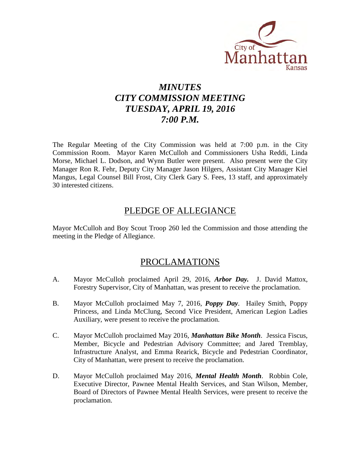

# *MINUTES CITY COMMISSION MEETING TUESDAY, APRIL 19, 2016 7:00 P.M.*

The Regular Meeting of the City Commission was held at 7:00 p.m. in the City Commission Room. Mayor Karen McCulloh and Commissioners Usha Reddi, Linda Morse, Michael L. Dodson, and Wynn Butler were present. Also present were the City Manager Ron R. Fehr, Deputy City Manager Jason Hilgers, Assistant City Manager Kiel Mangus, Legal Counsel Bill Frost, City Clerk Gary S. Fees, 13 staff, and approximately 30 interested citizens.

# PLEDGE OF ALLEGIANCE

Mayor McCulloh and Boy Scout Troop 260 led the Commission and those attending the meeting in the Pledge of Allegiance.

# PROCLAMATIONS

- A. Mayor McCulloh proclaimed April 29, 2016, *Arbor Day.* J. David Mattox, Forestry Supervisor, City of Manhattan, was present to receive the proclamation.
- B. Mayor McCulloh proclaimed May 7, 2016, *Poppy Day*. Hailey Smith, Poppy Princess, and Linda McClung, Second Vice President, American Legion Ladies Auxiliary, were present to receive the proclamation.
- C. Mayor McCulloh proclaimed May 2016, *Manhattan Bike Month*. Jessica Fiscus, Member, Bicycle and Pedestrian Advisory Committee; and Jared Tremblay, Infrastructure Analyst, and Emma Rearick, Bicycle and Pedestrian Coordinator, City of Manhattan, were present to receive the proclamation.
- D. Mayor McCulloh proclaimed May 2016, *Mental Health Month*. Robbin Cole, Executive Director, Pawnee Mental Health Services, and Stan Wilson, Member, Board of Directors of Pawnee Mental Health Services, were present to receive the proclamation.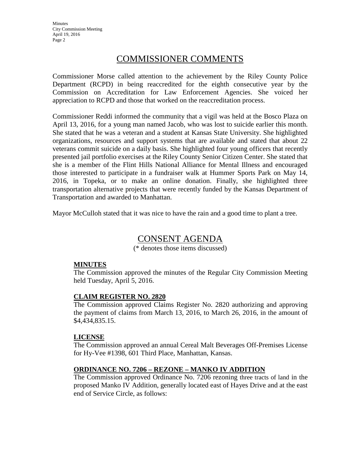# COMMISSIONER COMMENTS

Commissioner Morse called attention to the achievement by the Riley County Police Department (RCPD) in being reaccredited for the eighth consecutive year by the Commission on Accreditation for Law Enforcement Agencies. She voiced her appreciation to RCPD and those that worked on the reaccreditation process.

Commissioner Reddi informed the community that a vigil was held at the Bosco Plaza on April 13, 2016, for a young man named Jacob, who was lost to suicide earlier this month. She stated that he was a veteran and a student at Kansas State University. She highlighted organizations, resources and support systems that are available and stated that about 22 veterans commit suicide on a daily basis. She highlighted four young officers that recently presented jail portfolio exercises at the Riley County Senior Citizen Center. She stated that she is a member of the Flint Hills National Alliance for Mental Illness and encouraged those interested to participate in a fundraiser walk at Hummer Sports Park on May 14, 2016, in Topeka, or to make an online donation. Finally, she highlighted three transportation alternative projects that were recently funded by the Kansas Department of Transportation and awarded to Manhattan.

Mayor McCulloh stated that it was nice to have the rain and a good time to plant a tree.

# CONSENT AGENDA

(\* denotes those items discussed)

#### **MINUTES**

The Commission approved the minutes of the Regular City Commission Meeting held Tuesday, April 5, 2016.

# **CLAIM REGISTER NO. 2820**

The Commission approved Claims Register No. 2820 authorizing and approving the payment of claims from March 13, 2016, to March 26, 2016, in the amount of \$4,434,835.15.

#### **LICENSE**

The Commission approved an annual Cereal Malt Beverages Off-Premises License for Hy-Vee #1398, 601 Third Place, Manhattan, Kansas.

# **ORDINANCE NO. 7206 – REZONE – MANKO IV ADDITION**

The Commission approved Ordinance No. 7206 rezoning three tracts of land in the proposed Manko IV Addition, generally located east of Hayes Drive and at the east end of Service Circle, as follows: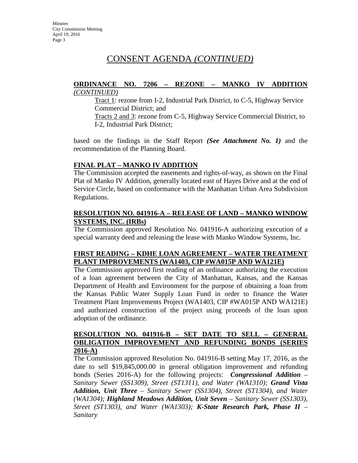#### **ORDINANCE NO. 7206 – REZONE – MANKO IV ADDITION** *(CONTINUED)*

Tract 1: rezone from I-2, Industrial Park District, to C-5, Highway Service Commercial District; and

Tracts 2 and 3: rezone from C-5, Highway Service Commercial District, to I-2, Industrial Park District;

based on the findings in the Staff Report *(See Attachment No. 1)* and the recommendation of the Planning Board.

# **FINAL PLAT – MANKO IV ADDITION**

The Commission accepted the easements and rights-of-way, as shown on the Final Plat of Manko IV Addition, generally located east of Hayes Drive and at the end of Service Circle, based on conformance with the Manhattan Urban Area Subdivision Regulations.

#### **RESOLUTION NO. 041916-A – RELEASE OF LAND – MANKO WINDOW SYSTEMS, INC. (IRBs)**

The Commission approved Resolution No. 041916-A authorizing execution of a special warranty deed and releasing the lease with Manko Window Systems, Inc.

# **FIRST READING – KDHE LOAN AGREEMENT – WATER TREATMENT PLANT IMPROVEMENTS (WA1403, CIP #WA015P AND WA121E)**

The Commission approved first reading of an ordinance authorizing the execution of a loan agreement between the City of Manhattan, Kansas, and the Kansas Department of Health and Environment for the purpose of obtaining a loan from the Kansas Public Water Supply Loan Fund in order to finance the Water Treatment Plant Improvements Project (WA1403, CIP #WA015P AND WA121E) and authorized construction of the project using proceeds of the loan upon adoption of the ordinance.

# **RESOLUTION NO. 041916-B – SET DATE TO SELL – GENERAL OBLIGATION IMPROVEMENT AND REFUNDING BONDS (SERIES 2016-A)**

The Commission approved Resolution No. 041916-B setting May 17, 2016, as the date to sell \$19,845,000.00 in general obligation improvement and refunding bonds (Series 2016-A) for the following projects: *Congressional Addition – Sanitary Sewer (SS1309), Street (ST1311), and Water (WA1310); Grand Vista Addition, Unit Three – Sanitary Sewer (SS1304), Street (ST1304), and Water (WA1304); Highland Meadows Addition, Unit Seven – Sanitary Sewer (SS1303), Street (ST1303), and Water (WA1303); K-State Research Park, Phase II – Sanitary*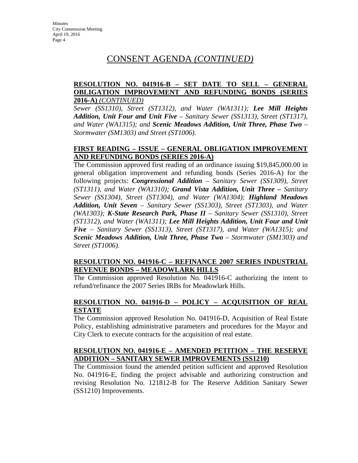## **RESOLUTION NO. 041916-B – SET DATE TO SELL – GENERAL OBLIGATION IMPROVEMENT AND REFUNDING BONDS (SERIES 2016-A)** *(CONTINUED)*

*Sewer (SS1310), Street (ST1312), and Water (WA1311); Lee Mill Heights Addition, Unit Four and Unit Five – Sanitary Sewer (SS1313), Street (ST1317), and Water (WA1315); and Scenic Meadows Addition, Unit Three, Phase Two – Stormwater (SM1303) and Street (ST1006).* 

# **FIRST READING – ISSUE – GENERAL OBLIGATION IMPROVEMENT AND REFUNDING BONDS (SERIES 2016-A)**

The Commission approved first reading of an ordinance issuing \$19,845,000.00 in general obligation improvement and refunding bonds (Series 2016-A) for the following projects: *Congressional Addition – Sanitary Sewer (SS1309), Street (ST1311), and Water (WA1310); Grand Vista Addition, Unit Three – Sanitary Sewer (SS1304), Street (ST1304), and Water (WA1304); Highland Meadows Addition, Unit Seven – Sanitary Sewer (SS1303), Street (ST1303), and Water (WA1303); K-State Research Park, Phase II – Sanitary Sewer (SS1310), Street (ST1312), and Water (WA1311); Lee Mill Heights Addition, Unit Four and Unit Five – Sanitary Sewer (SS1313), Street (ST1317), and Water (WA1315); and Scenic Meadows Addition, Unit Three, Phase Two – Stormwater (SM1303) and Street (ST1006).*

### **RESOLUTION NO. 041916-C – REFINANCE 2007 SERIES INDUSTRIAL REVENUE BONDS – MEADOWLARK HILLS**

The Commission approved Resolution No. 041916-C authorizing the intent to refund/refinance the 2007 Series IRBs for Meadowlark Hills.

# **RESOLUTION NO. 041916-D – POLICY – ACQUISITION OF REAL ESTATE**

The Commission approved Resolution No. 041916-D, Acquisition of Real Estate Policy, establishing administrative parameters and procedures for the Mayor and City Clerk to execute contracts for the acquisition of real estate.

# **RESOLUTION NO. 041916-E – AMENDED PETITION – THE RESERVE ADDITION – SANITARY SEWER IMPROVEMENTS (SS1210)**

The Commission found the amended petition sufficient and approved Resolution No. 041916-E, finding the project advisable and authorizing construction and revising Resolution No. 121812-B for The Reserve Addition Sanitary Sewer (SS1210) Improvements.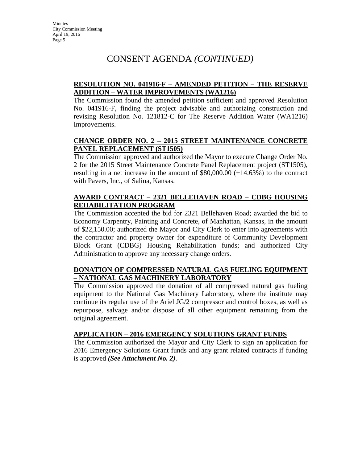# **RESOLUTION NO. 041916-F – AMENDED PETITION – THE RESERVE ADDITION – WATER IMPROVEMENTS (WA1216)**

The Commission found the amended petition sufficient and approved Resolution No. 041916-F, finding the project advisable and authorizing construction and revising Resolution No. 121812-C for The Reserve Addition Water (WA1216) Improvements.

# **CHANGE ORDER NO. 2 – 2015 STREET MAINTENANCE CONCRETE PANEL REPLACEMENT (ST1505)**

The Commission approved and authorized the Mayor to execute Change Order No. 2 for the 2015 Street Maintenance Concrete Panel Replacement project (ST1505), resulting in a net increase in the amount of  $$80,000.00 (+14.63%)$  to the contract with Pavers, Inc., of Salina, Kansas.

# **AWARD CONTRACT – 2321 BELLEHAVEN ROAD – CDBG HOUSING REHABILITATION PROGRAM**

The Commission accepted the bid for 2321 Bellehaven Road; awarded the bid to Economy Carpentry, Painting and Concrete, of Manhattan, Kansas, in the amount of \$22,150.00; authorized the Mayor and City Clerk to enter into agreements with the contractor and property owner for expenditure of Community Development Block Grant (CDBG) Housing Rehabilitation funds; and authorized City Administration to approve any necessary change orders.

# **DONATION OF COMPRESSED NATURAL GAS FUELING EQUIPMENT – NATIONAL GAS MACHINERY LABORATORY**

The Commission approved the donation of all compressed natural gas fueling equipment to the National Gas Machinery Laboratory, where the institute may continue its regular use of the Ariel JG/2 compressor and control boxes, as well as repurpose, salvage and/or dispose of all other equipment remaining from the original agreement.

# **APPLICATION – 2016 EMERGENCY SOLUTIONS GRANT FUNDS**

The Commission authorized the Mayor and City Clerk to sign an application for 2016 Emergency Solutions Grant funds and any grant related contracts if funding is approved *(See Attachment No. 2)*.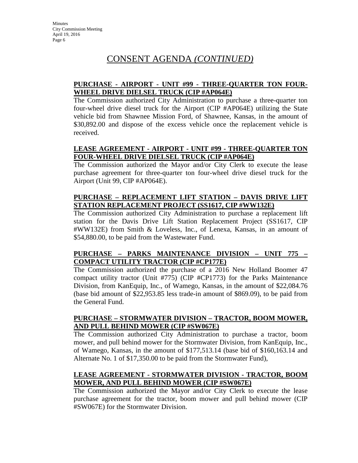## **PURCHASE - AIRPORT - UNIT #99 - THREE-QUARTER TON FOUR-WHEEL DRIVE DIELSEL TRUCK (CIP #AP064E)**

The Commission authorized City Administration to purchase a three-quarter ton four-wheel drive diesel truck for the Airport (CIP #AP064E) utilizing the State vehicle bid from Shawnee Mission Ford, of Shawnee, Kansas, in the amount of \$30,892.00 and dispose of the excess vehicle once the replacement vehicle is received.

# **LEASE AGREEMENT - AIRPORT - UNIT #99 - THREE-QUARTER TON FOUR-WHEEL DRIVE DIELSEL TRUCK (CIP #AP064E)**

The Commission authorized the Mayor and/or City Clerk to execute the lease purchase agreement for three-quarter ton four-wheel drive diesel truck for the Airport (Unit 99, CIP #AP064E).

# **PURCHASE – REPLACEMENT LIFT STATION – DAVIS DRIVE LIFT STATION REPLACEMENT PROJECT (SS1617, CIP #WW132E)**

The Commission authorized City Administration to purchase a replacement lift station for the Davis Drive Lift Station Replacement Project (SS1617, CIP #WW132E) from Smith & Loveless, Inc., of Lenexa, Kansas, in an amount of \$54,880.00, to be paid from the Wastewater Fund.

# **PURCHASE – PARKS MAINTENANCE DIVISION – UNIT 775 – COMPACT UTILITY TRACTOR (CIP #CP177E)**

The Commission authorized the purchase of a 2016 New Holland Boomer 47 compact utility tractor (Unit #775) (CIP #CP1773) for the Parks Maintenance Division, from KanEquip, Inc., of Wamego, Kansas, in the amount of \$22,084.76 (base bid amount of \$22,953.85 less trade-in amount of \$869.09), to be paid from the General Fund.

# **PURCHASE – STORMWATER DIVISION – TRACTOR, BOOM MOWER, AND PULL BEHIND MOWER (CIP #SW067E)**

The Commission authorized City Administration to purchase a tractor, boom mower, and pull behind mower for the Stormwater Division, from KanEquip, Inc., of Wamego, Kansas, in the amount of \$177,513.14 (base bid of \$160,163.14 and Alternate No. 1 of \$17,350.00 to be paid from the Stormwater Fund),

# **LEASE AGREEMENT - STORMWATER DIVISION - TRACTOR, BOOM MOWER, AND PULL BEHIND MOWER (CIP #SW067E)**

The Commission authorized the Mayor and/or City Clerk to execute the lease purchase agreement for the tractor, boom mower and pull behind mower (CIP #SW067E) for the Stormwater Division.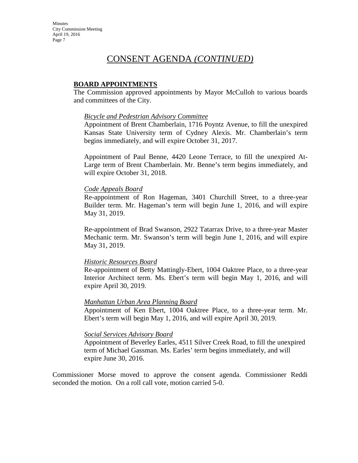#### **BOARD APPOINTMENTS**

The Commission approved appointments by Mayor McCulloh to various boards and committees of the City.

#### *Bicycle and Pedestrian Advisory Committee*

Appointment of Brent Chamberlain, 1716 Poyntz Avenue, to fill the unexpired Kansas State University term of Cydney Alexis. Mr. Chamberlain's term begins immediately, and will expire October 31, 2017.

Appointment of Paul Benne, 4420 Leone Terrace, to fill the unexpired At-Large term of Brent Chamberlain. Mr. Benne's term begins immediately, and will expire October 31, 2018.

#### *Code Appeals Board*

Re-appointment of Ron Hageman, 3401 Churchill Street, to a three-year Builder term. Mr. Hageman's term will begin June 1, 2016, and will expire May 31, 2019.

Re-appointment of Brad Swanson, 2922 Tatarrax Drive, to a three-year Master Mechanic term. Mr. Swanson's term will begin June 1, 2016, and will expire May 31, 2019.

#### *Historic Resources Board*

Re-appointment of Betty Mattingly-Ebert, 1004 Oaktree Place, to a three-year Interior Architect term. Ms. Ebert's term will begin May 1, 2016, and will expire April 30, 2019.

#### *Manhattan Urban Area Planning Board*

Appointment of Ken Ebert, 1004 Oaktree Place, to a three-year term. Mr. Ebert's term will begin May 1, 2016, and will expire April 30, 2019.

#### *Social Services Advisory Board*

Appointment of Beverley Earles, 4511 Silver Creek Road, to fill the unexpired term of Michael Gassman. Ms. Earles' term begins immediately, and will expire June 30, 2016.

Commissioner Morse moved to approve the consent agenda. Commissioner Reddi seconded the motion. On a roll call vote, motion carried 5-0.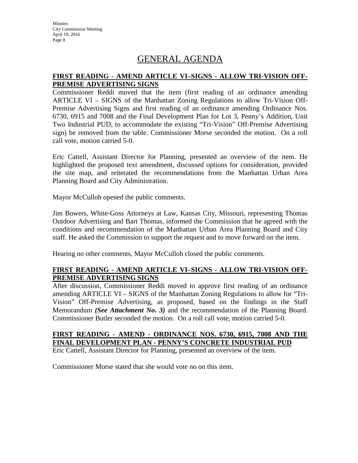# GENERAL AGENDA

## **FIRST READING - AMEND ARTICLE VI–SIGNS - ALLOW TRI-VISION OFF-PREMISE ADVERTISING SIGNS**

Commissioner Reddi moved that the item (first reading of an ordinance amending ARTICLE VI – SIGNS of the Manhattan Zoning Regulations to allow Tri-Vision Off-Premise Advertising Signs and first reading of an ordinance amending Ordinance Nos. 6730, 6915 and 7008 and the Final Development Plan for Lot 3, Penny's Addition, Unit Two Industrial PUD, to accommodate the existing "Tri-Vision" Off-Premise Advertising sign) be removed from the table. Commissioner Morse seconded the motion. On a roll call vote, motion carried 5-0.

Eric Cattell, Assistant Director for Planning, presented an overview of the item. He highlighted the proposed text amendment, discussed options for consideration, provided the site map, and reiterated the recommendations from the Manhattan Urban Area Planning Board and City Administration.

Mayor McCulloh opened the public comments.

Jim Bowers, White-Goss Attorneys at Law, Kansas City, Missouri, representing Thomas Outdoor Advertising and Bart Thomas, informed the Commission that he agreed with the conditions and recommendation of the Manhattan Urban Area Planning Board and City staff. He asked the Commission to support the request and to move forward on the item.

Hearing no other comments, Mayor McCulloh closed the public comments.

### **FIRST READING - AMEND ARTICLE VI–SIGNS - ALLOW TRI-VISION OFF-PREMISE ADVERTISING SIGNS**

After discussion, Commissioner Reddi moved to approve first reading of an ordinance amending ARTICLE VI – SIGNS of the Manhattan Zoning Regulations to allow for "Tri-Vision" Off-Premise Advertising, as proposed, based on the findings in the Staff Memorandum *(See Attachment No. 3)* and the recommendation of the Planning Board. Commissioner Butler seconded the motion. On a roll call vote, motion carried 5-0.

# **FIRST READING - AMEND - ORDINANCE NOS. 6730, 6915, 7008 AND THE FINAL DEVELOPMENT PLAN - PENNY'S CONCRETE INDUSTRIAL PUD**

Eric Cattell, Assistant Director for Planning, presented an overview of the item.

Commissioner Morse stated that she would vote no on this item.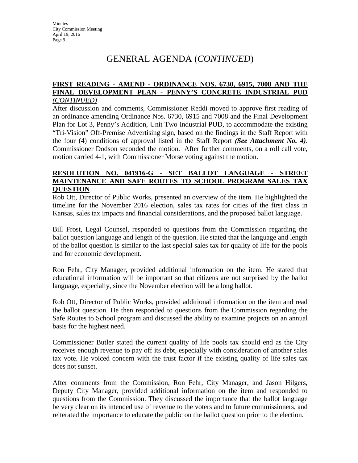# GENERAL AGENDA (*CONTINUED*)

#### **FIRST READING - AMEND - ORDINANCE NOS. 6730, 6915, 7008 AND THE FINAL DEVELOPMENT PLAN - PENNY'S CONCRETE INDUSTRIAL PUD** *(CONTINUED)*

After discussion and comments, Commissioner Reddi moved to approve first reading of an ordinance amending Ordinance Nos. 6730, 6915 and 7008 and the Final Development Plan for Lot 3, Penny's Addition, Unit Two Industrial PUD, to accommodate the existing "Tri-Vision" Off-Premise Advertising sign, based on the findings in the Staff Report with the four (4) conditions of approval listed in the Staff Report *(See Attachment No. 4)*. Commissioner Dodson seconded the motion. After further comments, on a roll call vote, motion carried 4-1, with Commissioner Morse voting against the motion.

#### **RESOLUTION NO. 041916-G - SET BALLOT LANGUAGE - STREET MAINTENANCE AND SAFE ROUTES TO SCHOOL PROGRAM SALES TAX QUESTION**

Rob Ott, Director of Public Works, presented an overview of the item. He highlighted the timeline for the November 2016 election, sales tax rates for cities of the first class in Kansas, sales tax impacts and financial considerations, and the proposed ballot language.

Bill Frost, Legal Counsel, responded to questions from the Commission regarding the ballot question language and length of the question. He stated that the language and length of the ballot question is similar to the last special sales tax for quality of life for the pools and for economic development.

Ron Fehr, City Manager, provided additional information on the item. He stated that educational information will be important so that citizens are not surprised by the ballot language, especially, since the November election will be a long ballot.

Rob Ott, Director of Public Works, provided additional information on the item and read the ballot question. He then responded to questions from the Commission regarding the Safe Routes to School program and discussed the ability to examine projects on an annual basis for the highest need.

Commissioner Butler stated the current quality of life pools tax should end as the City receives enough revenue to pay off its debt, especially with consideration of another sales tax vote. He voiced concern with the trust factor if the existing quality of life sales tax does not sunset.

After comments from the Commission, Ron Fehr, City Manager, and Jason Hilgers, Deputy City Manager, provided additional information on the item and responded to questions from the Commission. They discussed the importance that the ballot language be very clear on its intended use of revenue to the voters and to future commissioners, and reiterated the importance to educate the public on the ballot question prior to the election.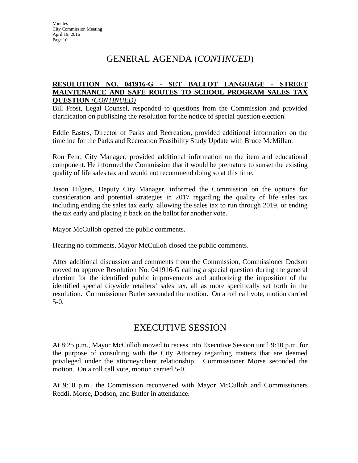# GENERAL AGENDA (*CONTINUED*)

#### **RESOLUTION NO. 041916-G - SET BALLOT LANGUAGE - STREET MAINTENANCE AND SAFE ROUTES TO SCHOOL PROGRAM SALES TAX QUESTION** *(CONTINUED)*

Bill Frost, Legal Counsel, responded to questions from the Commission and provided clarification on publishing the resolution for the notice of special question election.

Eddie Eastes, Director of Parks and Recreation, provided additional information on the timeline for the Parks and Recreation Feasibility Study Update with Bruce McMillan.

Ron Fehr, City Manager, provided additional information on the item and educational component. He informed the Commission that it would be premature to sunset the existing quality of life sales tax and would not recommend doing so at this time.

Jason Hilgers, Deputy City Manager, informed the Commission on the options for consideration and potential strategies in 2017 regarding the quality of life sales tax including ending the sales tax early, allowing the sales tax to run through 2019, or ending the tax early and placing it back on the ballot for another vote.

Mayor McCulloh opened the public comments.

Hearing no comments, Mayor McCulloh closed the public comments.

After additional discussion and comments from the Commission, Commissioner Dodson moved to approve Resolution No. 041916-G calling a special question during the general election for the identified public improvements and authorizing the imposition of the identified special citywide retailers' sales tax, all as more specifically set forth in the resolution. Commissioner Butler seconded the motion. On a roll call vote, motion carried 5-0.

# EXECUTIVE SESSION

At 8:25 p.m., Mayor McCulloh moved to recess into Executive Session until 9:10 p.m. for the purpose of consulting with the City Attorney regarding matters that are deemed privileged under the attorney/client relationship. Commissioner Morse seconded the motion. On a roll call vote, motion carried 5-0.

At 9:10 p.m., the Commission reconvened with Mayor McCulloh and Commissioners Reddi, Morse, Dodson, and Butler in attendance.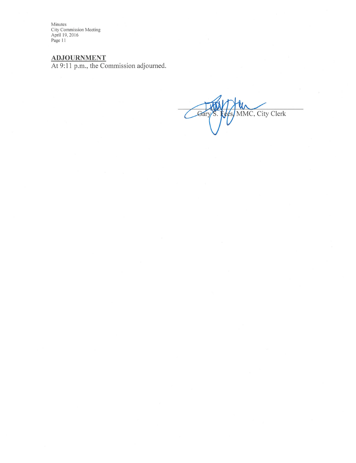Minutes<br>City Commission Meeting<br>April 19, 2016<br>Page 11

ADJOURNMENT<br>At 9:11 p.m., the Commission adjourned.

MMC, City Clerk Gá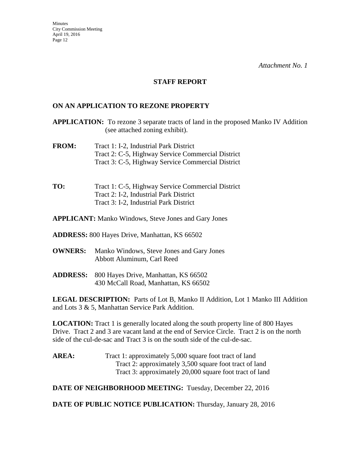#### **STAFF REPORT**

### **ON AN APPLICATION TO REZONE PROPERTY**

**APPLICATION:** To rezone 3 separate tracts of land in the proposed Manko IV Addition (see attached zoning exhibit).

- **FROM:** Tract 1: I-2, Industrial Park District Tract 2: C-5, Highway Service Commercial District Tract 3: C-5, Highway Service Commercial District
- **TO:** Tract 1: C-5, Highway Service Commercial District Tract 2: I-2, Industrial Park District Tract 3: I-2, Industrial Park District

**APPLICANT:** Manko Windows, Steve Jones and Gary Jones

**ADDRESS:** 800 Hayes Drive, Manhattan, KS 66502

- **OWNERS:** Manko Windows, Steve Jones and Gary Jones Abbott Aluminum, Carl Reed
- **ADDRESS:** 800 Hayes Drive, Manhattan, KS 66502 430 McCall Road, Manhattan, KS 66502

LEGAL DESCRIPTION: Parts of Lot B, Manko II Addition, Lot 1 Manko III Addition and Lots 3 & 5, Manhattan Service Park Addition.

**LOCATION:** Tract 1 is generally located along the south property line of 800 Hayes Drive. Tract 2 and 3 are vacant land at the end of Service Circle. Tract 2 is on the north side of the cul-de-sac and Tract 3 is on the south side of the cul-de-sac.

**AREA:** Tract 1: approximately 5,000 square foot tract of land Tract 2: approximately 3,500 square foot tract of land Tract 3: approximately 20,000 square foot tract of land

**DATE OF NEIGHBORHOOD MEETING:** Tuesday, December 22, 2016

**DATE OF PUBLIC NOTICE PUBLICATION:** Thursday, January 28, 2016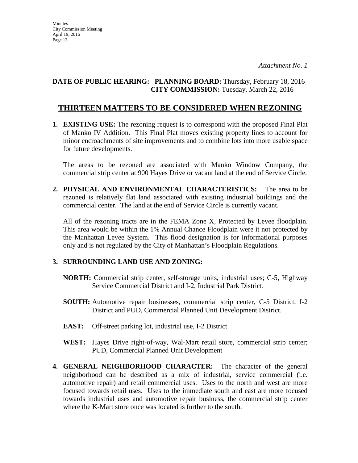# **DATE OF PUBLIC HEARING: PLANNING BOARD:** Thursday, February 18, 2016 **CITY COMMISSION:** Tuesday, March 22, 2016

# **THIRTEEN MATTERS TO BE CONSIDERED WHEN REZONING**

**1. EXISTING USE:** The rezoning request is to correspond with the proposed Final Plat of Manko IV Addition. This Final Plat moves existing property lines to account for minor encroachments of site improvements and to combine lots into more usable space for future developments.

The areas to be rezoned are associated with Manko Window Company, the commercial strip center at 900 Hayes Drive or vacant land at the end of Service Circle.

**2. PHYSICAL AND ENVIRONMENTAL CHARACTERISTICS:** The area to be rezoned is relatively flat land associated with existing industrial buildings and the commercial center. The land at the end of Service Circle is currently vacant.

All of the rezoning tracts are in the FEMA Zone X, Protected by Levee floodplain. This area would be within the 1% Annual Chance Floodplain were it not protected by the Manhattan Levee System. This flood designation is for informational purposes only and is not regulated by the City of Manhattan's Floodplain Regulations.

# **3. SURROUNDING LAND USE AND ZONING:**

- **NORTH:** Commercial strip center, self-storage units, industrial uses; C-5, Highway Service Commercial District and I-2, Industrial Park District.
- **SOUTH:** Automotive repair businesses, commercial strip center, C-5 District, I-2 District and PUD, Commercial Planned Unit Development District.
- **EAST:** Off-street parking lot, industrial use, I-2 District
- **WEST:** Hayes Drive right-of-way, Wal-Mart retail store, commercial strip center; PUD, Commercial Planned Unit Development
- **4. GENERAL NEIGHBORHOOD CHARACTER:** The character of the general neighborhood can be described as a mix of industrial, service commercial (i.e. automotive repair) and retail commercial uses. Uses to the north and west are more focused towards retail uses. Uses to the immediate south and east are more focused towards industrial uses and automotive repair business, the commercial strip center where the K-Mart store once was located is further to the south.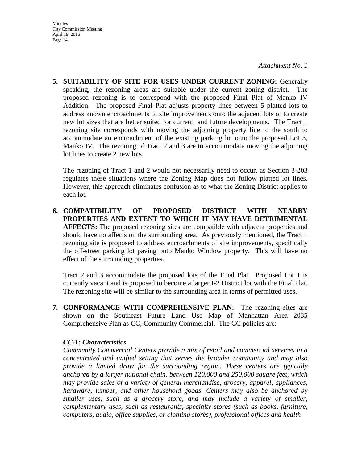- **Minutes** City Commission Meeting April 19, 2016 Page 14
- **5. SUITABILITY OF SITE FOR USES UNDER CURRENT ZONING:** Generally speaking, the rezoning areas are suitable under the current zoning district. The proposed rezoning is to correspond with the proposed Final Plat of Manko IV Addition. The proposed Final Plat adjusts property lines between 5 platted lots to address known encroachments of site improvements onto the adjacent lots or to create new lot sizes that are better suited for current and future developments. The Tract 1 rezoning site corresponds with moving the adjoining property line to the south to accommodate an encroachment of the existing parking lot onto the proposed Lot 3, Manko IV. The rezoning of Tract 2 and 3 are to accommodate moving the adjoining lot lines to create 2 new lots.

The rezoning of Tract 1 and 2 would not necessarily need to occur, as Section 3-203 regulates these situations where the Zoning Map does not follow platted lot lines. However, this approach eliminates confusion as to what the Zoning District applies to each lot.

**6. COMPATIBILITY OF PROPOSED DISTRICT WITH NEARBY PROPERTIES AND EXTENT TO WHICH IT MAY HAVE DETRIMENTAL AFFECTS:** The proposed rezoning sites are compatible with adjacent properties and should have no affects on the surrounding area. As previously mentioned, the Tract 1 rezoning site is proposed to address encroachments of site improvements, specifically the off-street parking lot paving onto Manko Window property. This will have no effect of the surrounding properties.

Tract 2 and 3 accommodate the proposed lots of the Final Plat. Proposed Lot 1 is currently vacant and is proposed to become a larger I-2 District lot with the Final Plat. The rezoning site will be similar to the surrounding area in terms of permitted uses.

**7. CONFORMANCE WITH COMPREHENSIVE PLAN:** The rezoning sites are shown on the Southeast Future Land Use Map of Manhattan Area 2035 Comprehensive Plan as CC, Community Commercial. The CC policies are:

#### *CC-1: Characteristics*

*Community Commercial Centers provide a mix of retail and commercial services in a concentrated and unified setting that serves the broader community and may also provide a limited draw for the surrounding region. These centers are typically anchored by a larger national chain, between 120,000 and 250,000 square feet, which may provide sales of a variety of general merchandise, grocery, apparel, appliances, hardware, lumber, and other household goods. Centers may also be anchored by smaller uses, such as a grocery store, and may include a variety of smaller, complementary uses, such as restaurants, specialty stores (such as books, furniture, computers, audio, office supplies, or clothing stores), professional offices and health*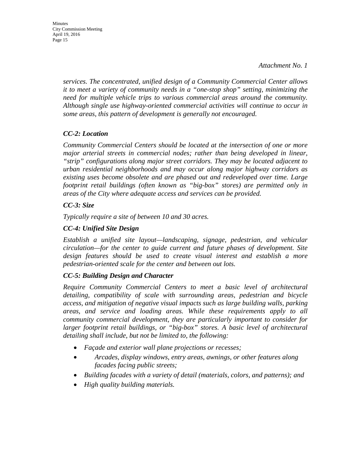*services. The concentrated, unified design of a Community Commercial Center allows it to meet a variety of community needs in a "one-stop shop" setting, minimizing the need for multiple vehicle trips to various commercial areas around the community. Although single use highway-oriented commercial activities will continue to occur in some areas, this pattern of development is generally not encouraged.* 

# *CC-2: Location*

*Community Commercial Centers should be located at the intersection of one or more major arterial streets in commercial nodes; rather than being developed in linear, "strip" configurations along major street corridors. They may be located adjacent to urban residential neighborhoods and may occur along major highway corridors as existing uses become obsolete and are phased out and redeveloped over time. Large footprint retail buildings (often known as "big-box" stores) are permitted only in areas of the City where adequate access and services can be provided.* 

### *CC-3: Size*

*Typically require a site of between 10 and 30 acres.* 

# *CC-4: Unified Site Design*

*Establish a unified site layout—landscaping, signage, pedestrian, and vehicular circulation—for the center to guide current and future phases of development. Site design features should be used to create visual interest and establish a more pedestrian-oriented scale for the center and between out lots.* 

# *CC-5: Building Design and Character*

*Require Community Commercial Centers to meet a basic level of architectural detailing, compatibility of scale with surrounding areas, pedestrian and bicycle access, and mitigation of negative visual impacts such as large building walls, parking areas, and service and loading areas. While these requirements apply to all community commercial development, they are particularly important to consider for larger footprint retail buildings, or "big-box" stores. A basic level of architectural detailing shall include, but not be limited to, the following:* 

- *Façade and exterior wall plane projections or recesses;*
- *Arcades, display windows, entry areas, awnings, or other features along facades facing public streets;*
- *Building facades with a variety of detail (materials, colors, and patterns); and*
- *High quality building materials.*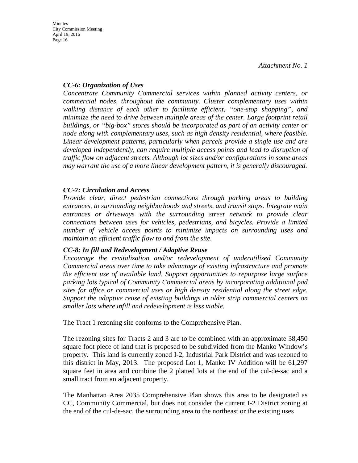# *CC-6: Organization of Uses*

*Concentrate Community Commercial services within planned activity centers, or commercial nodes, throughout the community. Cluster complementary uses within walking distance of each other to facilitate efficient, "one-stop shopping", and minimize the need to drive between multiple areas of the center. Large footprint retail buildings, or "big-box" stores should be incorporated as part of an activity center or node along with complementary uses, such as high density residential, where feasible. Linear development patterns, particularly when parcels provide a single use and are*  developed independently, can require multiple access points and lead to disruption of *traffic flow on adjacent streets. Although lot sizes and/or configurations in some areas may warrant the use of a more linear development pattern, it is generally discouraged.* 

# *CC-7: Circulation and Access*

*Provide clear, direct pedestrian connections through parking areas to building entrances, to surrounding neighborhoods and streets, and transit stops. Integrate main entrances or driveways with the surrounding street network to provide clear connections between uses for vehicles, pedestrians, and bicycles. Provide a limited number of vehicle access points to minimize impacts on surrounding uses and maintain an efficient traffic flow to and from the site.* 

#### *CC-8: In fill and Redevelopment / Adaptive Reuse*

*Encourage the revitalization and/or redevelopment of underutilized Community Commercial areas over time to take advantage of existing infrastructure and promote the efficient use of available land. Support opportunities to repurpose large surface parking lots typical of Community Commercial areas by incorporating additional pad sites for office or commercial uses or high density residential along the street edge. Support the adaptive reuse of existing buildings in older strip commercial centers on smaller lots where infill and redevelopment is less viable.* 

The Tract 1 rezoning site conforms to the Comprehensive Plan.

The rezoning sites for Tracts 2 and 3 are to be combined with an approximate 38,450 square foot piece of land that is proposed to be subdivided from the Manko Window's property. This land is currently zoned I-2, Industrial Park District and was rezoned to this district in May, 2013. The proposed Lot 1, Manko IV Addition will be 61,297 square feet in area and combine the 2 platted lots at the end of the cul-de-sac and a small tract from an adjacent property.

The Manhattan Area 2035 Comprehensive Plan shows this area to be designated as CC, Community Commercial, but does not consider the current I-2 District zoning at the end of the cul-de-sac, the surrounding area to the northeast or the existing uses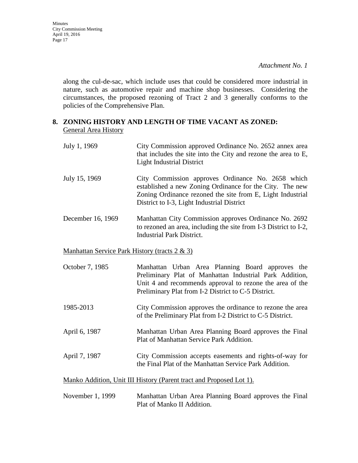*Attachment No. 1*

along the cul-de-sac, which include uses that could be considered more industrial in nature, such as automotive repair and machine shop businesses. Considering the circumstances, the proposed rezoning of Tract 2 and 3 generally conforms to the policies of the Comprehensive Plan.

## **8. ZONING HISTORY AND LENGTH OF TIME VACANT AS ZONED:** General Area History

| July 1, 1969      | City Commission approved Ordinance No. 2652 annex area<br>that includes the site into the City and rezone the area to E,<br><b>Light Industrial District</b>                                                              |
|-------------------|---------------------------------------------------------------------------------------------------------------------------------------------------------------------------------------------------------------------------|
| July 15, 1969     | City Commission approves Ordinance No. 2658 which<br>established a new Zoning Ordinance for the City. The new<br>Zoning Ordinance rezoned the site from E, Light Industrial<br>District to I-3, Light Industrial District |
| December 16, 1969 | Manhattan City Commission approves Ordinance No. 2692<br>to rezoned an area, including the site from I-3 District to I-2,<br>Industrial Park District.                                                                    |

#### Manhattan Service Park History (tracts 2 & 3)

October 7, 1985 Manhattan Urban Area Planning Board approves the Preliminary Plat of Manhattan Industrial Park Addition, Unit 4 and recommends approval to rezone the area of the Preliminary Plat from I-2 District to C-5 District.

- 1985-2013 City Commission approves the ordinance to rezone the area of the Preliminary Plat from I-2 District to C-5 District.
- April 6, 1987 Manhattan Urban Area Planning Board approves the Final Plat of Manhattan Service Park Addition.
- April 7, 1987 City Commission accepts easements and rights-of-way for the Final Plat of the Manhattan Service Park Addition.

Manko Addition, Unit III History (Parent tract and Proposed Lot 1).

November 1, 1999 Manhattan Urban Area Planning Board approves the Final Plat of Manko II Addition.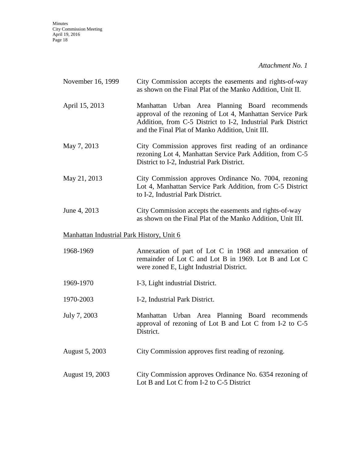*Attachment No. 1*

| November 16, 1999                         | City Commission accepts the easements and rights-of-way<br>as shown on the Final Plat of the Manko Addition, Unit II.                                                                                                          |
|-------------------------------------------|--------------------------------------------------------------------------------------------------------------------------------------------------------------------------------------------------------------------------------|
| April 15, 2013                            | Manhattan Urban Area Planning Board recommends<br>approval of the rezoning of Lot 4, Manhattan Service Park<br>Addition, from C-5 District to I-2, Industrial Park District<br>and the Final Plat of Manko Addition, Unit III. |
| May 7, 2013                               | City Commission approves first reading of an ordinance<br>rezoning Lot 4, Manhattan Service Park Addition, from C-5<br>District to I-2, Industrial Park District.                                                              |
| May 21, 2013                              | City Commission approves Ordinance No. 7004, rezoning<br>Lot 4, Manhattan Service Park Addition, from C-5 District<br>to I-2, Industrial Park District.                                                                        |
| June 4, 2013                              | City Commission accepts the easements and rights-of-way<br>as shown on the Final Plat of the Manko Addition, Unit III.                                                                                                         |
| Manhattan Industrial Park History, Unit 6 |                                                                                                                                                                                                                                |
| 1968-1969                                 | Annexation of part of Lot C in 1968 and annexation of<br>remainder of Lot C and Lot B in 1969. Lot B and Lot C<br>were zoned E, Light Industrial District.                                                                     |
| 1969-1970                                 | I-3, Light industrial District.                                                                                                                                                                                                |
| 1970-2003                                 | I-2, Industrial Park District.                                                                                                                                                                                                 |
| July 7, 2003                              | Manhattan Urban Area Planning Board recommends<br>approval of rezoning of Lot B and Lot C from I-2 to C-5<br>District.                                                                                                         |
| August 5, 2003                            | City Commission approves first reading of rezoning.                                                                                                                                                                            |
| August 19, 2003                           | City Commission approves Ordinance No. 6354 rezoning of<br>Lot B and Lot C from I-2 to C-5 District                                                                                                                            |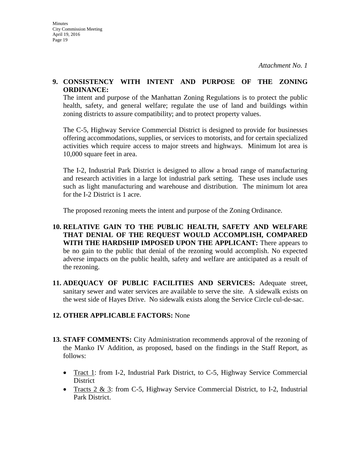#### **9. CONSISTENCY WITH INTENT AND PURPOSE OF THE ZONING ORDINANCE:**

The intent and purpose of the Manhattan Zoning Regulations is to protect the public health, safety, and general welfare; regulate the use of land and buildings within zoning districts to assure compatibility; and to protect property values.

The C-5, Highway Service Commercial District is designed to provide for businesses offering accommodations, supplies, or services to motorists, and for certain specialized activities which require access to major streets and highways. Minimum lot area is 10,000 square feet in area.

The I-2, Industrial Park District is designed to allow a broad range of manufacturing and research activities in a large lot industrial park setting. These uses include uses such as light manufacturing and warehouse and distribution. The minimum lot area for the I-2 District is 1 acre.

The proposed rezoning meets the intent and purpose of the Zoning Ordinance.

- **10. RELATIVE GAIN TO THE PUBLIC HEALTH, SAFETY AND WELFARE THAT DENIAL OF THE REQUEST WOULD ACCOMPLISH, COMPARED WITH THE HARDSHIP IMPOSED UPON THE APPLICANT:** There appears to be no gain to the public that denial of the rezoning would accomplish. No expected adverse impacts on the public health, safety and welfare are anticipated as a result of the rezoning.
- **11. ADEQUACY OF PUBLIC FACILITIES AND SERVICES:** Adequate street, sanitary sewer and water services are available to serve the site. A sidewalk exists on the west side of Hayes Drive. No sidewalk exists along the Service Circle cul-de-sac.

# **12. OTHER APPLICABLE FACTORS:** None

- **13. STAFF COMMENTS:** City Administration recommends approval of the rezoning of the Manko IV Addition, as proposed, based on the findings in the Staff Report, as follows:
	- Tract 1: from I-2, Industrial Park District, to C-5, Highway Service Commercial **District**
	- Tracts 2 & 3: from C-5, Highway Service Commercial District, to I-2, Industrial Park District.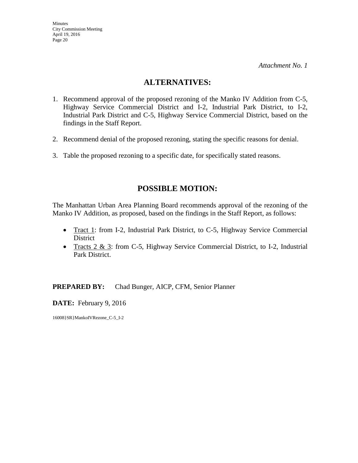# **ALTERNATIVES:**

- 1. Recommend approval of the proposed rezoning of the Manko IV Addition from C-5, Highway Service Commercial District and I-2, Industrial Park District, to I-2, Industrial Park District and C-5, Highway Service Commercial District, based on the findings in the Staff Report.
- 2. Recommend denial of the proposed rezoning, stating the specific reasons for denial.
- 3. Table the proposed rezoning to a specific date, for specifically stated reasons.

# **POSSIBLE MOTION:**

The Manhattan Urban Area Planning Board recommends approval of the rezoning of the Manko IV Addition, as proposed, based on the findings in the Staff Report, as follows:

- Tract 1: from I-2, Industrial Park District, to C-5, Highway Service Commercial **District**
- Tracts 2 & 3: from C-5, Highway Service Commercial District, to I-2, Industrial Park District.

**PREPARED BY:** Chad Bunger, AICP, CFM, Senior Planner

**DATE:** February 9, 2016

16008}SR}MankoIVRezone\_C-5\_I-2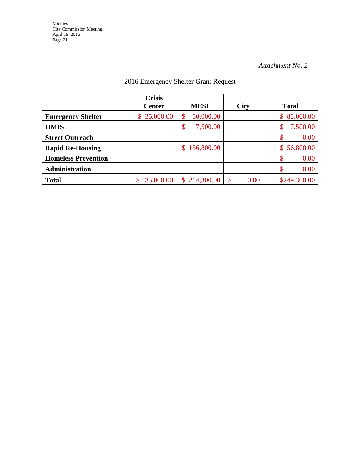| 2016 Emergency Shelter Grant Request |  |
|--------------------------------------|--|
|--------------------------------------|--|

|                            | <b>Crisis</b><br><b>Center</b> | <b>MESI</b>                | <b>City</b> | <b>Total</b>    |
|----------------------------|--------------------------------|----------------------------|-------------|-----------------|
| <b>Emergency Shelter</b>   | 35,000.00<br>\$                | 50,000.00<br>\$            |             | 85,000.00<br>\$ |
| <b>HMIS</b>                |                                | \$<br>7,500.00             |             | 7,500.00        |
| <b>Street Outreach</b>     |                                |                            |             | 0.00            |
| <b>Rapid Re-Housing</b>    |                                | 156,800.00<br>\$           |             | 56,800.00<br>S. |
| <b>Homeless Prevention</b> |                                |                            |             | 0.00            |
| Administration             |                                |                            |             | 0.00            |
| <b>Total</b>               | 35,000.00                      | 214,300.00<br>$\mathbb{S}$ | 0.00        | \$249,300.00    |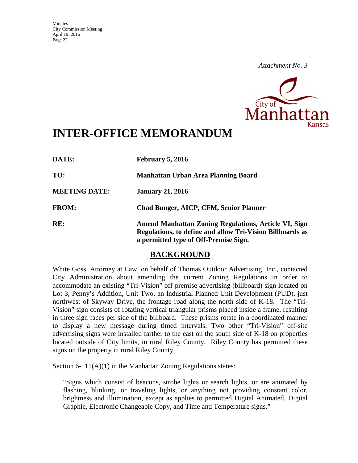

# **INTER-OFFICE MEMORANDUM**

| DATE:                | February 5, 2016                                                                                                                                           |
|----------------------|------------------------------------------------------------------------------------------------------------------------------------------------------------|
| TO:                  | Manhattan Urban Area Planning Board                                                                                                                        |
| <b>MEETING DATE:</b> | <b>January 21, 2016</b>                                                                                                                                    |
| <b>FROM:</b>         | <b>Chad Bunger, AICP, CFM, Senior Planner</b>                                                                                                              |
| RE:                  | Amend Manhattan Zoning Regulations, Article VI, Sign<br>Regulations, to define and allow Tri-Vision Billboards as<br>a permitted type of Off-Premise Sign. |

# **BACKGROUND**

White Goss, Attorney at Law, on behalf of Thomas Outdoor Advertising, Inc., contacted City Administration about amending the current Zoning Regulations in order to accommodate an existing "Tri-Vision" off-premise advertising (billboard) sign located on Lot 3, Penny's Addition, Unit Two, an Industrial Planned Unit Development (PUD), just northwest of Skyway Drive, the frontage road along the north side of K-18. The "Tri-Vision" sign consists of rotating vertical triangular prisms placed inside a frame, resulting in three sign faces per side of the billboard. These prisms rotate in a coordinated manner to display a new message during timed intervals. Two other "Tri-Vision" off-site advertising signs were installed farther to the east on the south side of K-18 on properties located outside of City limits, in rural Riley County. Riley County has permitted these signs on the property in rural Riley County.

Section 6-111(A)(1) in the Manhattan Zoning Regulations states:

"Signs which consist of beacons, strobe lights or search lights, or are animated by flashing, blinking, or traveling lights, or anything not providing constant color, brightness and illumination, except as applies to permitted Digital Animated, Digital Graphic, Electronic Changeable Copy, and Time and Temperature signs."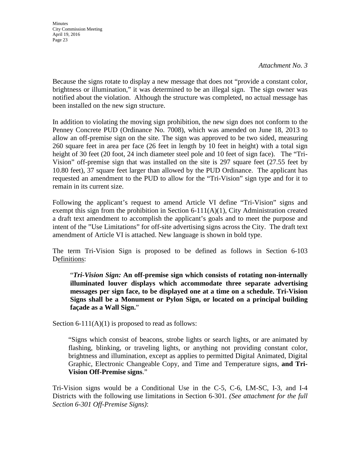**Minutes** 

*Attachment No. 3* 

Because the signs rotate to display a new message that does not "provide a constant color, brightness or illumination," it was determined to be an illegal sign. The sign owner was notified about the violation. Although the structure was completed, no actual message has been installed on the new sign structure.

In addition to violating the moving sign prohibition, the new sign does not conform to the Penney Concrete PUD (Ordinance No. 7008), which was amended on June 18, 2013 to allow an off-premise sign on the site. The sign was approved to be two sided, measuring 260 square feet in area per face (26 feet in length by 10 feet in height) with a total sign height of 30 feet (20 foot, 24 inch diameter steel pole and 10 feet of sign face). The "Tri-Vision" off-premise sign that was installed on the site is 297 square feet (27.55 feet by 10.80 feet), 37 square feet larger than allowed by the PUD Ordinance. The applicant has requested an amendment to the PUD to allow for the "Tri-Vision" sign type and for it to remain in its current size.

Following the applicant's request to amend Article VI define "Tri-Vision" signs and exempt this sign from the prohibition in Section  $6-111(A)(1)$ , City Administration created a draft text amendment to accomplish the applicant's goals and to meet the purpose and intent of the "Use Limitations" for off-site advertising signs across the City. The draft text amendment of Article VI is attached. New language is shown in bold type.

The term Tri-Vision Sign is proposed to be defined as follows in Section 6-103 Definitions:

"*Tri-Vision Sign:* **An off-premise sign which consists of rotating non-internally illuminated louver displays which accommodate three separate advertising messages per sign face, to be displayed one at a time on a schedule. Tri-Vision Signs shall be a Monument or Pylon Sign, or located on a principal building façade as a Wall Sign.**"

Section  $6-111(A)(1)$  is proposed to read as follows:

"Signs which consist of beacons, strobe lights or search lights, or are animated by flashing, blinking, or traveling lights, or anything not providing constant color, brightness and illumination, except as applies to permitted Digital Animated, Digital Graphic, Electronic Changeable Copy, and Time and Temperature signs, **and Tri-Vision Off-Premise signs**."

Tri-Vision signs would be a Conditional Use in the C-5, C-6, LM-SC, I-3, and I-4 Districts with the following use limitations in Section 6-301. *(See attachment for the full Section 6-301 Off-Premise Signs)*: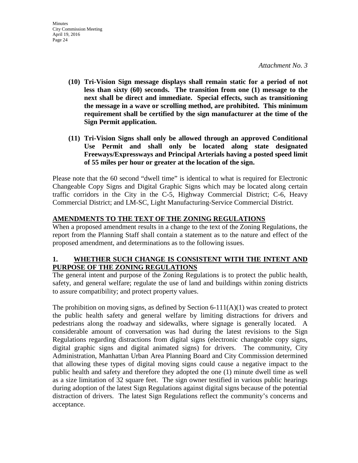- **(10) Tri-Vision Sign message displays shall remain static for a period of not less than sixty (60) seconds. The transition from one (1) message to the next shall be direct and immediate. Special effects, such as transitioning the message in a wave or scrolling method, are prohibited. This minimum requirement shall be certified by the sign manufacturer at the time of the Sign Permit application.**
- **(11) Tri-Vision Signs shall only be allowed through an approved Conditional Use Permit and shall only be located along state designated Freeways/Expressways and Principal Arterials having a posted speed limit of 55 miles per hour or greater at the location of the sign.**

Please note that the 60 second "dwell time" is identical to what is required for Electronic Changeable Copy Signs and Digital Graphic Signs which may be located along certain traffic corridors in the City in the C-5, Highway Commercial District; C-6, Heavy Commercial District; and LM-SC, Light Manufacturing-Service Commercial District.

# **AMENDMENTS TO THE TEXT OF THE ZONING REGULATIONS**

When a proposed amendment results in a change to the text of the Zoning Regulations, the report from the Planning Staff shall contain a statement as to the nature and effect of the proposed amendment, and determinations as to the following issues.

# **1. WHETHER SUCH CHANGE IS CONSISTENT WITH THE INTENT AND PURPOSE OF THE ZONING REGULATIONS**

The general intent and purpose of the Zoning Regulations is to protect the public health, safety, and general welfare; regulate the use of land and buildings within zoning districts to assure compatibility; and protect property values.

The prohibition on moving signs, as defined by Section  $6-111(A)(1)$  was created to protect the public health safety and general welfare by limiting distractions for drivers and pedestrians along the roadway and sidewalks, where signage is generally located. A considerable amount of conversation was had during the latest revisions to the Sign Regulations regarding distractions from digital signs (electronic changeable copy signs, digital graphic signs and digital animated signs) for drivers. The community, City Administration, Manhattan Urban Area Planning Board and City Commission determined that allowing these types of digital moving signs could cause a negative impact to the public health and safety and therefore they adopted the one (1) minute dwell time as well as a size limitation of 32 square feet. The sign owner testified in various public hearings during adoption of the latest Sign Regulations against digital signs because of the potential distraction of drivers. The latest Sign Regulations reflect the community's concerns and acceptance.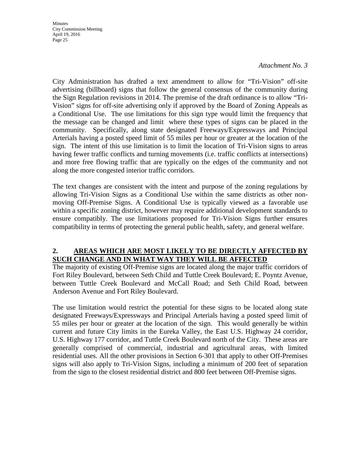#### *Attachment No. 3*

City Administration has drafted a text amendment to allow for "Tri-Vision" off-site advertising (billboard) signs that follow the general consensus of the community during the Sign Regulation revisions in 2014. The premise of the draft ordinance is to allow "Tri-Vision" signs for off-site advertising only if approved by the Board of Zoning Appeals as a Conditional Use. The use limitations for this sign type would limit the frequency that the message can be changed and limit where these types of signs can be placed in the community. Specifically, along state designated Freeways/Expressways and Principal Arterials having a posted speed limit of 55 miles per hour or greater at the location of the sign. The intent of this use limitation is to limit the location of Tri-Vision signs to areas having fewer traffic conflicts and turning movements (i.e. traffic conflicts at intersections) and more free flowing traffic that are typically on the edges of the community and not along the more congested interior traffic corridors.

The text changes are consistent with the intent and purpose of the zoning regulations by allowing Tri-Vision Signs as a Conditional Use within the same districts as other nonmoving Off-Premise Signs. A Conditional Use is typically viewed as a favorable use within a specific zoning district, however may require additional development standards to ensure compatibly. The use limitations proposed for Tri-Vision Signs further ensures compatibility in terms of protecting the general public health, safety, and general welfare.

### **2. AREAS WHICH ARE MOST LIKELY TO BE DIRECTLY AFFECTED BY SUCH CHANGE AND IN WHAT WAY THEY WILL BE AFFECTED**

The majority of existing Off-Premise signs are located along the major traffic corridors of Fort Riley Boulevard, between Seth Child and Tuttle Creek Boulevard; E. Poyntz Avenue, between Tuttle Creek Boulevard and McCall Road; and Seth Child Road, between Anderson Avenue and Fort Riley Boulevard.

The use limitation would restrict the potential for these signs to be located along state designated Freeways/Expressways and Principal Arterials having a posted speed limit of 55 miles per hour or greater at the location of the sign. This would generally be within current and future City limits in the Eureka Valley, the East U.S. Highway 24 corridor, U.S. Highway 177 corridor, and Tuttle Creek Boulevard north of the City. These areas are generally comprised of commercial, industrial and agricultural areas, with limited residential uses. All the other provisions in Section 6-301 that apply to other Off-Premises signs will also apply to Tri-Vision Signs, including a minimum of 200 feet of separation from the sign to the closest residential district and 800 feet between Off-Premise signs.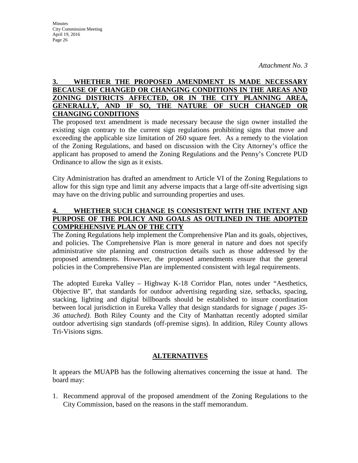# **3. WHETHER THE PROPOSED AMENDMENT IS MADE NECESSARY BECAUSE OF CHANGED OR CHANGING CONDITIONS IN THE AREAS AND ZONING DISTRICTS AFFECTED, OR IN THE CITY PLANNING AREA, GENERALLY, AND IF SO, THE NATURE OF SUCH CHANGED OR CHANGING CONDITIONS**

The proposed text amendment is made necessary because the sign owner installed the existing sign contrary to the current sign regulations prohibiting signs that move and exceeding the applicable size limitation of 260 square feet. As a remedy to the violation of the Zoning Regulations, and based on discussion with the City Attorney's office the applicant has proposed to amend the Zoning Regulations and the Penny's Concrete PUD Ordinance to allow the sign as it exists.

City Administration has drafted an amendment to Article VI of the Zoning Regulations to allow for this sign type and limit any adverse impacts that a large off-site advertising sign may have on the driving public and surrounding properties and uses.

# **4. WHETHER SUCH CHANGE IS CONSISTENT WITH THE INTENT AND PURPOSE OF THE POLICY AND GOALS AS OUTLINED IN THE ADOPTED COMPREHENSIVE PLAN OF THE CITY**

The Zoning Regulations help implement the Comprehensive Plan and its goals, objectives, and policies. The Comprehensive Plan is more general in nature and does not specify administrative site planning and construction details such as those addressed by the proposed amendments. However, the proposed amendments ensure that the general policies in the Comprehensive Plan are implemented consistent with legal requirements.

The adopted Eureka Valley – Highway K-18 Corridor Plan, notes under "Aesthetics, Objective B", that standards for outdoor advertising regarding size, setbacks, spacing, stacking, lighting and digital billboards should be established to insure coordination between local jurisdiction in Eureka Valley that design standards for signage *( pages 35- 36 attached)*. Both Riley County and the City of Manhattan recently adopted similar outdoor advertising sign standards (off-premise signs). In addition, Riley County allows Tri-Visions signs.

# **ALTERNATIVES**

It appears the MUAPB has the following alternatives concerning the issue at hand. The board may:

1. Recommend approval of the proposed amendment of the Zoning Regulations to the City Commission, based on the reasons in the staff memorandum.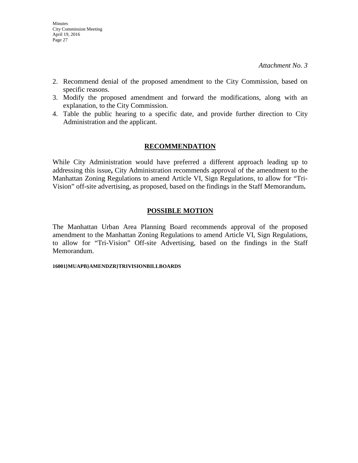- 2. Recommend denial of the proposed amendment to the City Commission, based on specific reasons.
- 3. Modify the proposed amendment and forward the modifications, along with an explanation, to the City Commission.
- 4. Table the public hearing to a specific date, and provide further direction to City Administration and the applicant.

### **RECOMMENDATION**

While City Administration would have preferred a different approach leading up to addressing this issue**,** City Administration recommends approval of the amendment to the Manhattan Zoning Regulations to amend Article VI, Sign Regulations, to allow for "Tri-Vision" off-site advertising, as proposed, based on the findings in the Staff Memorandum**.** 

# **POSSIBLE MOTION**

The Manhattan Urban Area Planning Board recommends approval of the proposed amendment to the Manhattan Zoning Regulations to amend Article VI, Sign Regulations, to allow for "Tri-Vision" Off-site Advertising, based on the findings in the Staff Memorandum.

#### **16001}MUAPB}AMENDZR}TRIVISIONBILLBOARDS**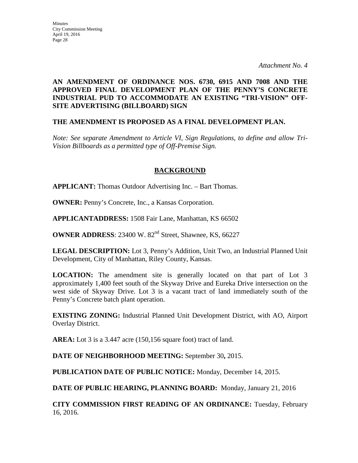# **AN AMENDMENT OF ORDINANCE NOS. 6730, 6915 AND 7008 AND THE APPROVED FINAL DEVELOPMENT PLAN OF THE PENNY'S CONCRETE INDUSTRIAL PUD TO ACCOMMODATE AN EXISTING "TRI-VISION" OFF-SITE ADVERTISING (BILLBOARD) SIGN**

# **THE AMENDMENT IS PROPOSED AS A FINAL DEVELOPMENT PLAN.**

*Note: See separate Amendment to Article VI, Sign Regulations, to define and allow Tri-Vision Billboards as a permitted type of Off-Premise Sign.* 

# **BACKGROUND**

**APPLICANT:** Thomas Outdoor Advertising Inc. – Bart Thomas.

**OWNER:** Penny's Concrete, Inc., a Kansas Corporation.

**APPLICANTADDRESS:** 1508 Fair Lane, Manhattan, KS 66502

**OWNER ADDRESS**: 23400 W. 82<sup>nd</sup> Street, Shawnee, KS, 66227

**LEGAL DESCRIPTION:** Lot 3, Penny's Addition, Unit Two, an Industrial Planned Unit Development, City of Manhattan, Riley County, Kansas.

**LOCATION:** The amendment site is generally located on that part of Lot 3 approximately 1,400 feet south of the Skyway Drive and Eureka Drive intersection on the west side of Skyway Drive. Lot 3 is a vacant tract of land immediately south of the Penny's Concrete batch plant operation.

**EXISTING ZONING:** Industrial Planned Unit Development District, with AO, Airport Overlay District.

**AREA:** Lot 3 is a 3.447 acre (150,156 square foot) tract of land.

**DATE OF NEIGHBORHOOD MEETING:** September 30**,** 2015.

**PUBLICATION DATE OF PUBLIC NOTICE:** Monday, December 14, 2015.

**DATE OF PUBLIC HEARING, PLANNING BOARD:** Monday, January 21, 2016

**CITY COMMISSION FIRST READING OF AN ORDINANCE:** Tuesday, February 16, 2016.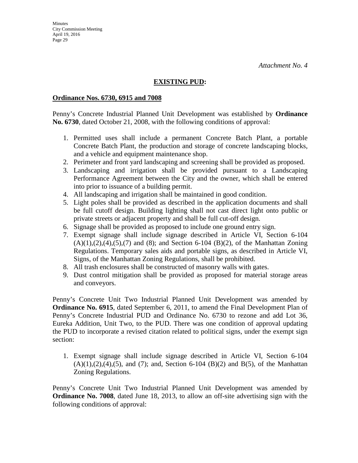# **EXISTING PUD:**

### **Ordinance Nos. 6730, 6915 and 7008**

Penny's Concrete Industrial Planned Unit Development was established by **Ordinance No. 6730**, dated October 21, 2008, with the following conditions of approval:

- 1. Permitted uses shall include a permanent Concrete Batch Plant, a portable Concrete Batch Plant, the production and storage of concrete landscaping blocks, and a vehicle and equipment maintenance shop.
- 2. Perimeter and front yard landscaping and screening shall be provided as proposed.
- 3. Landscaping and irrigation shall be provided pursuant to a Landscaping Performance Agreement between the City and the owner, which shall be entered into prior to issuance of a building permit.
- 4. All landscaping and irrigation shall be maintained in good condition.
- 5. Light poles shall be provided as described in the application documents and shall be full cutoff design. Building lighting shall not cast direct light onto public or private streets or adjacent property and shall be full cut-off design.
- 6. Signage shall be provided as proposed to include one ground entry sign.
- 7. Exempt signage shall include signage described in Article VI, Section 6-104  $(A)(1),(2),(4),(5),(7)$  and  $(8)$ ; and Section 6-104  $(B)(2)$ , of the Manhattan Zoning Regulations. Temporary sales aids and portable signs, as described in Article VI, Signs, of the Manhattan Zoning Regulations, shall be prohibited.
- 8. All trash enclosures shall be constructed of masonry walls with gates.
- 9. Dust control mitigation shall be provided as proposed for material storage areas and conveyors.

Penny's Concrete Unit Two Industrial Planned Unit Development was amended by **Ordinance No. 6915**, dated September 6, 2011, to amend the Final Development Plan of Penny's Concrete Industrial PUD and Ordinance No. 6730 to rezone and add Lot 36, Eureka Addition, Unit Two, to the PUD. There was one condition of approval updating the PUD to incorporate a revised citation related to political signs, under the exempt sign section:

1. Exempt signage shall include signage described in Article VI, Section 6-104  $(A)(1),(2),(4),(5)$ , and  $(7)$ ; and, Section 6-104  $(B)(2)$  and  $B(5)$ , of the Manhattan Zoning Regulations.

Penny's Concrete Unit Two Industrial Planned Unit Development was amended by **Ordinance No. 7008**, dated June 18, 2013, to allow an off-site advertising sign with the following conditions of approval: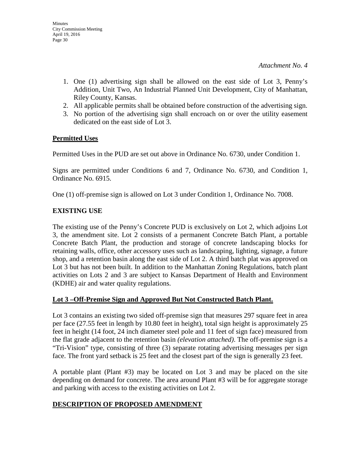- 1. One (1) advertising sign shall be allowed on the east side of Lot 3, Penny's Addition, Unit Two, An Industrial Planned Unit Development, City of Manhattan, Riley County, Kansas.
- 2. All applicable permits shall be obtained before construction of the advertising sign.
- 3. No portion of the advertising sign shall encroach on or over the utility easement dedicated on the east side of Lot 3.

### **Permitted Uses**

Permitted Uses in the PUD are set out above in Ordinance No. 6730, under Condition 1.

Signs are permitted under Conditions 6 and 7, Ordinance No. 6730, and Condition 1, Ordinance No. 6915.

One (1) off-premise sign is allowed on Lot 3 under Condition 1, Ordinance No. 7008.

# **EXISTING USE**

The existing use of the Penny's Concrete PUD is exclusively on Lot 2, which adjoins Lot 3, the amendment site. Lot 2 consists of a permanent Concrete Batch Plant, a portable Concrete Batch Plant, the production and storage of concrete landscaping blocks for retaining walls, office, other accessory uses such as landscaping, lighting, signage, a future shop, and a retention basin along the east side of Lot 2. A third batch plat was approved on Lot 3 but has not been built. In addition to the Manhattan Zoning Regulations, batch plant activities on Lots 2 and 3 are subject to Kansas Department of Health and Environment (KDHE) air and water quality regulations.

# **Lot 3 –Off-Premise Sign and Approved But Not Constructed Batch Plant.**

Lot 3 contains an existing two sided off-premise sign that measures 297 square feet in area per face (27.55 feet in length by 10.80 feet in height), total sign height is approximately 25 feet in height (14 foot, 24 inch diameter steel pole and 11 feet of sign face) measured from the flat grade adjacent to the retention basin *(elevation attached)*. The off-premise sign is a "Tri-Vision" type, consisting of three (3) separate rotating advertising messages per sign face. The front yard setback is 25 feet and the closest part of the sign is generally 23 feet.

A portable plant (Plant #3) may be located on Lot 3 and may be placed on the site depending on demand for concrete. The area around Plant #3 will be for aggregate storage and parking with access to the existing activities on Lot 2.

# **DESCRIPTION OF PROPOSED AMENDMENT**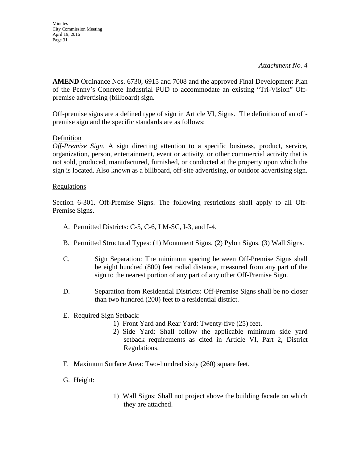**AMEND** Ordinance Nos. 6730, 6915 and 7008 and the approved Final Development Plan of the Penny's Concrete Industrial PUD to accommodate an existing "Tri-Vision" Offpremise advertising (billboard) sign.

Off-premise signs are a defined type of sign in Article VI, Signs. The definition of an offpremise sign and the specific standards are as follows:

# Definition

*Off-Premise Sign*. A sign directing attention to a specific business, product, service, organization, person, entertainment, event or activity, or other commercial activity that is not sold, produced, manufactured, furnished, or conducted at the property upon which the sign is located. Also known as a billboard, off-site advertising, or outdoor advertising sign.

# Regulations

Section 6-301. Off-Premise Signs. The following restrictions shall apply to all Off-Premise Signs.

- A. Permitted Districts: C-5, C-6, LM-SC, I-3, and I-4.
- B. Permitted Structural Types: (1) Monument Signs. (2) Pylon Signs. (3) Wall Signs.
- C. Sign Separation: The minimum spacing between Off-Premise Signs shall be eight hundred (800) feet radial distance, measured from any part of the sign to the nearest portion of any part of any other Off-Premise Sign.
- D. Separation from Residential Districts: Off-Premise Signs shall be no closer than two hundred (200) feet to a residential district.
- E. Required Sign Setback:
	- 1) Front Yard and Rear Yard: Twenty-five (25) feet.
	- 2) Side Yard: Shall follow the applicable minimum side yard setback requirements as cited in Article VI, Part 2, District Regulations.
- F. Maximum Surface Area: Two-hundred sixty (260) square feet.
- G. Height:
- 1) Wall Signs: Shall not project above the building facade on which they are attached.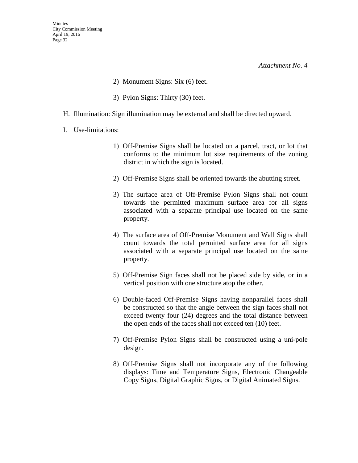*Attachment No. 4* 

- 2) Monument Signs: Six (6) feet.
- 3) Pylon Signs: Thirty (30) feet.
- H. Illumination: Sign illumination may be external and shall be directed upward.
- I. Use-limitations:
	- 1) Off-Premise Signs shall be located on a parcel, tract, or lot that conforms to the minimum lot size requirements of the zoning district in which the sign is located.
	- 2) Off-Premise Signs shall be oriented towards the abutting street.
	- 3) The surface area of Off-Premise Pylon Signs shall not count towards the permitted maximum surface area for all signs associated with a separate principal use located on the same property.
	- 4) The surface area of Off-Premise Monument and Wall Signs shall count towards the total permitted surface area for all signs associated with a separate principal use located on the same property.
	- 5) Off-Premise Sign faces shall not be placed side by side, or in a vertical position with one structure atop the other.
	- 6) Double-faced Off-Premise Signs having nonparallel faces shall be constructed so that the angle between the sign faces shall not exceed twenty four (24) degrees and the total distance between the open ends of the faces shall not exceed ten (10) feet.
	- 7) Off-Premise Pylon Signs shall be constructed using a uni-pole design.
	- 8) Off-Premise Signs shall not incorporate any of the following displays: Time and Temperature Signs, Electronic Changeable Copy Signs, Digital Graphic Signs, or Digital Animated Signs.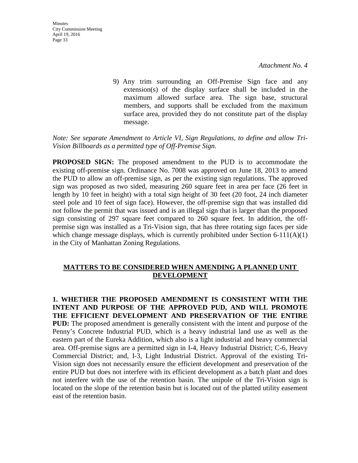9) Any trim surrounding an Off-Premise Sign face and any extension(s) of the display surface shall be included in the maximum allowed surface area. The sign base, structural members, and supports shall be excluded from the maximum surface area, provided they do not constitute part of the display message.

#### *Note: See separate Amendment to Article VI, Sign Regulations, to define and allow Tri-Vision Billboards as a permitted type of Off-Premise Sign.*

**PROPOSED SIGN:** The proposed amendment to the PUD is to accommodate the existing off-premise sign. Ordinance No. 7008 was approved on June 18, 2013 to amend the PUD to allow an off-premise sign, as per the existing sign regulations. The approved sign was proposed as two sided, measuring 260 square feet in area per face (26 feet in length by 10 feet in height) with a total sign height of 30 feet (20 foot, 24 inch diameter steel pole and 10 feet of sign face). However, the off-premise sign that was installed did not follow the permit that was issued and is an illegal sign that is larger than the proposed sign consisting of 297 square feet compared to 260 square feet. In addition, the offpremise sign was installed as a Tri-Vision sign, that has three rotating sign faces per side which change message displays, which is currently prohibited under Section  $6-111(A)(1)$ in the City of Manhattan Zoning Regulations.

### **MATTERS TO BE CONSIDERED WHEN AMENDING A PLANNED UNIT DEVELOPMENT**

**1. WHETHER THE PROPOSED AMENDMENT IS CONSISTENT WITH THE INTENT AND PURPOSE OF THE APPROVED PUD, AND WILL PROMOTE THE EFFICIENT DEVELOPMENT AND PRESERVATION OF THE ENTIRE PUD:** The proposed amendment is generally consistent with the intent and purpose of the Penny's Concrete Industrial PUD, which is a heavy industrial land use as well as the eastern part of the Eureka Addition, which also is a light industrial and heavy commercial area. Off-premise signs are a permitted sign in I-4, Heavy Industrial District; C-6, Heavy Commercial District; and, I-3, Light Industrial District. Approval of the existing Tri-Vision sign does not necessarily ensure the efficient development and preservation of the entire PUD but does not interfere with its efficient development as a batch plant and does not interfere with the use of the retention basin. The unipole of the Tri-Vision sign is located on the slope of the retention basin but is located out of the platted utility easement east of the retention basin.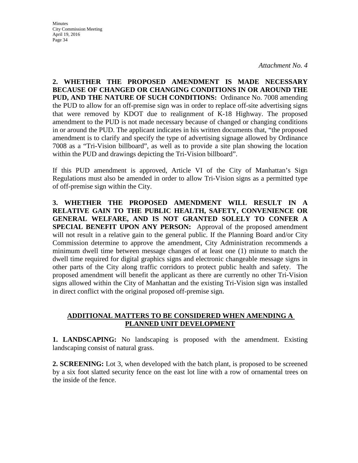*Attachment No. 4* 

**2. WHETHER THE PROPOSED AMENDMENT IS MADE NECESSARY BECAUSE OF CHANGED OR CHANGING CONDITIONS IN OR AROUND THE PUD, AND THE NATURE OF SUCH CONDITIONS:** Ordinance No. 7008 amending the PUD to allow for an off-premise sign was in order to replace off-site advertising signs that were removed by KDOT due to realignment of K-18 Highway. The proposed amendment to the PUD is not made necessary because of changed or changing conditions in or around the PUD. The applicant indicates in his written documents that, "the proposed amendment is to clarify and specify the type of advertising signage allowed by Ordinance 7008 as a "Tri-Vision billboard", as well as to provide a site plan showing the location within the PUD and drawings depicting the Tri-Vision billboard".

If this PUD amendment is approved, Article VI of the City of Manhattan's Sign Regulations must also be amended in order to allow Tri-Vision signs as a permitted type of off-premise sign within the City.

**3. WHETHER THE PROPOSED AMENDMENT WILL RESULT IN A RELATIVE GAIN TO THE PUBLIC HEALTH, SAFETY, CONVENIENCE OR GENERAL WELFARE, AND IS NOT GRANTED SOLELY TO CONFER A SPECIAL BENEFIT UPON ANY PERSON:** Approval of the proposed amendment will not result in a relative gain to the general public. If the Planning Board and/or City Commission determine to approve the amendment, City Administration recommends a minimum dwell time between message changes of at least one (1) minute to match the dwell time required for digital graphics signs and electronic changeable message signs in other parts of the City along traffic corridors to protect public health and safety. The proposed amendment will benefit the applicant as there are currently no other Tri-Vision signs allowed within the City of Manhattan and the existing Tri-Vision sign was installed in direct conflict with the original proposed off-premise sign.

### **ADDITIONAL MATTERS TO BE CONSIDERED WHEN AMENDING A PLANNED UNIT DEVELOPMENT**

**1. LANDSCAPING:** No landscaping is proposed with the amendment. Existing landscaping consist of natural grass.

**2. SCREENING:** Lot 3, when developed with the batch plant, is proposed to be screened by a six foot slatted security fence on the east lot line with a row of ornamental trees on the inside of the fence.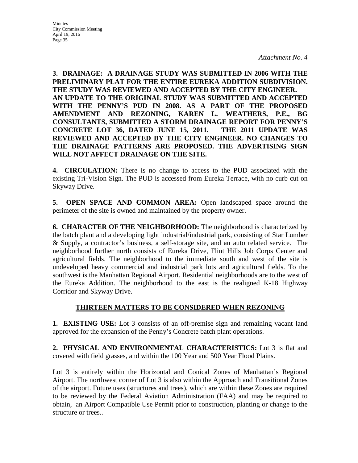Minutes City Commission Meeting April 19, 2016 Page 35

**3. DRAINAGE: A DRAINAGE STUDY WAS SUBMITTED IN 2006 WITH THE PRELIMINARY PLAT FOR THE ENTIRE EUREKA ADDITION SUBDIVISION. THE STUDY WAS REVIEWED AND ACCEPTED BY THE CITY ENGINEER. AN UPDATE TO THE ORIGINAL STUDY WAS SUBMITTED AND ACCEPTED WITH THE PENNY'S PUD IN 2008. AS A PART OF THE PROPOSED AMENDMENT AND REZONING, KAREN L. WEATHERS, P.E., BG CONSULTANTS, SUBMITTED A STORM DRAINAGE REPORT FOR PENNY'S CONCRETE LOT 36, DATED JUNE 15, 2011. THE 2011 UPDATE WAS REVIEWED AND ACCEPTED BY THE CITY ENGINEER. NO CHANGES TO THE DRAINAGE PATTERNS ARE PROPOSED. THE ADVERTISING SIGN WILL NOT AFFECT DRAINAGE ON THE SITE.**

**4. CIRCULATION:** There is no change to access to the PUD associated with the existing Tri-Vision Sign. The PUD is accessed from Eureka Terrace, with no curb cut on Skyway Drive.

**5. OPEN SPACE AND COMMON AREA:** Open landscaped space around the perimeter of the site is owned and maintained by the property owner.

**6. CHARACTER OF THE NEIGHBORHOOD:** The neighborhood is characterized by the batch plant and a developing light industrial/industrial park, consisting of Star Lumber & Supply, a contractor's business, a self-storage site, and an auto related service. The neighborhood further north consists of Eureka Drive, Flint Hills Job Corps Center and agricultural fields. The neighborhood to the immediate south and west of the site is undeveloped heavy commercial and industrial park lots and agricultural fields. To the southwest is the Manhattan Regional Airport. Residential neighborhoods are to the west of the Eureka Addition. The neighborhood to the east is the realigned K-18 Highway Corridor and Skyway Drive.

# **THIRTEEN MATTERS TO BE CONSIDERED WHEN REZONING**

**1. EXISTING USE:** Lot 3 consists of an off-premise sign and remaining vacant land approved for the expansion of the Penny's Concrete batch plant operations.

**2. PHYSICAL AND ENVIRONMENTAL CHARACTERISTICS:** Lot 3 is flat and covered with field grasses, and within the 100 Year and 500 Year Flood Plains.

Lot 3 is entirely within the Horizontal and Conical Zones of Manhattan's Regional Airport. The northwest corner of Lot 3 is also within the Approach and Transitional Zones of the airport. Future uses (structures and trees), which are within these Zones are required to be reviewed by the Federal Aviation Administration (FAA) and may be required to obtain, an Airport Compatible Use Permit prior to construction, planting or change to the structure or trees..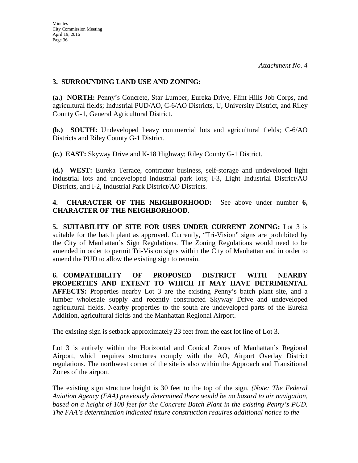## **3. SURROUNDING LAND USE AND ZONING:**

**(a.) NORTH:** Penny's Concrete, Star Lumber, Eureka Drive, Flint Hills Job Corps, and agricultural fields; Industrial PUD/AO, C-6/AO Districts, U, University District, and Riley County G-1, General Agricultural District.

**(b.) SOUTH:** Undeveloped heavy commercial lots and agricultural fields; C-6/AO Districts and Riley County G-1 District.

**(c.) EAST:** Skyway Drive and K-18 Highway; Riley County G-1 District.

**(d.) WEST:** Eureka Terrace, contractor business, self-storage and undeveloped light industrial lots and undeveloped industrial park lots; I-3, Light Industrial District/AO Districts, and I-2, Industrial Park District/AO Districts.

**4. CHARACTER OF THE NEIGHBORHOOD:** See above under number **6, CHARACTER OF THE NEIGHBORHOOD**.

**5. SUITABILITY OF SITE FOR USES UNDER CURRENT ZONING:** Lot 3 is suitable for the batch plant as approved. Currently, "Tri-Vision" signs are prohibited by the City of Manhattan's Sign Regulations. The Zoning Regulations would need to be amended in order to permit Tri-Vision signs within the City of Manhattan and in order to amend the PUD to allow the existing sign to remain.

**6. COMPATIBILITY OF PROPOSED DISTRICT WITH NEARBY PROPERTIES AND EXTENT TO WHICH IT MAY HAVE DETRIMENTAL AFFECTS:** Properties nearby Lot 3 are the existing Penny's batch plant site, and a lumber wholesale supply and recently constructed Skyway Drive and undeveloped agricultural fields. Nearby properties to the south are undeveloped parts of the Eureka Addition, agricultural fields and the Manhattan Regional Airport.

The existing sign is setback approximately 23 feet from the east lot line of Lot 3.

Lot 3 is entirely within the Horizontal and Conical Zones of Manhattan's Regional Airport, which requires structures comply with the AO, Airport Overlay District regulations. The northwest corner of the site is also within the Approach and Transitional Zones of the airport.

The existing sign structure height is 30 feet to the top of the sign. *(Note: The Federal Aviation Agency (FAA) previously determined there would be no hazard to air navigation, based on a height of 100 feet for the Concrete Batch Plant in the existing Penny's PUD. The FAA's determination indicated future construction requires additional notice to the*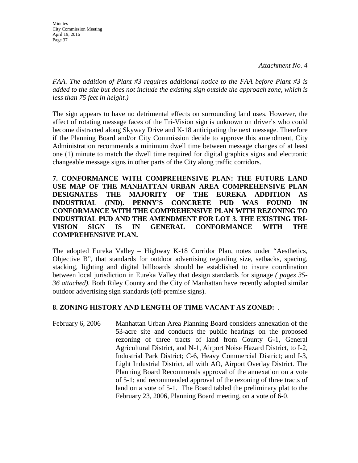*FAA. The addition of Plant #3 requires additional notice to the FAA before Plant #3 is added to the site but does not include the existing sign outside the approach zone, which is less than 75 feet in height.)* 

The sign appears to have no detrimental effects on surrounding land uses. However, the affect of rotating message faces of the Tri-Vision sign is unknown on driver's who could become distracted along Skyway Drive and K-18 anticipating the next message. Therefore if the Planning Board and/or City Commission decide to approve this amendment, City Administration recommends a minimum dwell time between message changes of at least one (1) minute to match the dwell time required for digital graphics signs and electronic changeable message signs in other parts of the City along traffic corridors.

**7. CONFORMANCE WITH COMPREHENSIVE PLAN: THE FUTURE LAND USE MAP OF THE MANHATTAN URBAN AREA COMPREHENSIVE PLAN DESIGNATES THE MAJORITY OF THE EUREKA ADDITION AS INDUSTRIAL (IND). PENNY'S CONCRETE PUD WAS FOUND IN CONFORMANCE WITH THE COMPREHENSIVE PLAN WITH REZONING TO INDUSTRIAL PUD AND THE AMENDMENT FOR LOT 3. THE EXISTING TRI-VISION SIGN IS IN GENERAL CONFORMANCE WITH THE COMPREHENSIVE PLAN.**

The adopted Eureka Valley – Highway K-18 Corridor Plan, notes under "Aesthetics, Objective B", that standards for outdoor advertising regarding size, setbacks, spacing, stacking, lighting and digital billboards should be established to insure coordination between local jurisdiction in Eureka Valley that design standards for signage *( pages 35- 36 attached)*. Both Riley County and the City of Manhattan have recently adopted similar outdoor advertising sign standards (off-premise signs).

# **8. ZONING HISTORY AND LENGTH OF TIME VACANT AS ZONED:** .

February 6, 2006 Manhattan Urban Area Planning Board considers annexation of the 53-acre site and conducts the public hearings on the proposed rezoning of three tracts of land from County G-1, General Agricultural District, and N**-**1, Airport Noise Hazard District, to I-2, Industrial Park District; C-6, Heavy Commercial District; and I-3, Light Industrial District, all with AO, Airport Overlay District. The Planning Board Recommends approval of the annexation on a vote of 5-1; and recommended approval of the rezoning of three tracts of land on a vote of 5-1. The Board tabled the preliminary plat to the February 23, 2006, Planning Board meeting, on a vote of 6-0.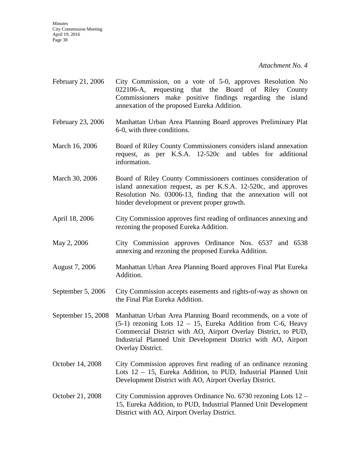*Attachment No. 4* 

- February 21, 2006 City Commission, on a vote of 5-0, approves Resolution No 022106-A, **r**equesting that the Board of Riley County Commissioners make positive findings regarding the island annexation of the proposed Eureka Addition.
- February 23, 2006 Manhattan Urban Area Planning Board approves Preliminary Plat 6-0, with three conditions.
- March 16, 2006 Board of Riley County Commissioners considers island annexation request, as per K.S.A. 12-520c and tables for additional information.
- March 30, 2006 Board of Riley County Commissioners continues consideration of island annexation request, as per K.S.A. 12-520c, and approves Resolution No. 03006-13, finding that the annexation will not hinder development or prevent proper growth.
- April 18, 2006 City Commission approves first reading of ordinances annexing and rezoning the proposed Eureka Addition.
- May 2, 2006 City Commission approves Ordinance Nos. 6537 and 6538 annexing and rezoning the proposed Eureka Addition.
- August 7, 2006 Manhattan Urban Area Planning Board approves Final Plat Eureka Addition.
- September 5, 2006 City Commission accepts easements and rights-of-way as shown on the Final Plat Eureka Addition.
- September 15, 2008 Manhattan Urban Area Planning Board recommends, on a vote of  $(5-1)$  rezoning Lots  $12 - 15$ , Eureka Addition from C-6, Heavy Commercial District with AO, Airport Overlay District, to PUD, Industrial Planned Unit Development District with AO, Airport Overlay District.
- October 14, 2008 City Commission approves first reading of an ordinance rezoning Lots 12 – 15, Eureka Addition, to PUD, Industrial Planned Unit Development District with AO, Airport Overlay District.
- October 21, 2008 City Commission approves Ordinance No. 6730 rezoning Lots 12 15, Eureka Addition, to PUD, Industrial Planned Unit Development District with AO, Airport Overlay District.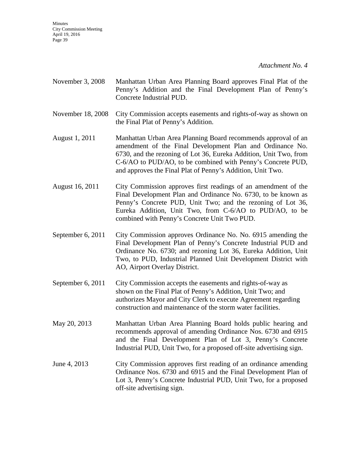*Attachment No. 4* 

- November 3, 2008 Manhattan Urban Area Planning Board approves Final Plat of the Penny's Addition and the Final Development Plan of Penny's Concrete Industrial PUD.
- November 18, 2008 City Commission accepts easements and rights-of-way as shown on the Final Plat of Penny's Addition.
- August 1, 2011 Manhattan Urban Area Planning Board recommends approval of an amendment of the Final Development Plan and Ordinance No. 6730, and the rezoning of Lot 36, Eureka Addition, Unit Two, from C-6/AO to PUD/AO, to be combined with Penny's Concrete PUD, and approves the Final Plat of Penny's Addition, Unit Two.
- August 16, 2011 City Commission approves first readings of an amendment of the Final Development Plan and Ordinance No. 6730, to be known as Penny's Concrete PUD, Unit Two; and the rezoning of Lot 36, Eureka Addition, Unit Two, from C-6/AO to PUD/AO, to be combined with Penny's Concrete Unit Two PUD.
- September 6, 2011 City Commission approves Ordinance No. No. 6915 amending the Final Development Plan of Penny's Concrete Industrial PUD and Ordinance No. 6730; and rezoning Lot 36, Eureka Addition, Unit Two, to PUD, Industrial Planned Unit Development District with AO, Airport Overlay District.
- September 6, 2011 City Commission accepts the easements and rights-of-way as shown on the Final Plat of Penny's Addition, Unit Two; and authorizes Mayor and City Clerk to execute Agreement regarding construction and maintenance of the storm water facilities.
- May 20, 2013 Manhattan Urban Area Planning Board holds public hearing and recommends approval of amending Ordinance Nos. 6730 and 6915 and the Final Development Plan of Lot 3, Penny's Concrete Industrial PUD, Unit Two, for a proposed off-site advertising sign.
- June 4, 2013 City Commission approves first reading of an ordinance amending Ordinance Nos. 6730 and 6915 and the Final Development Plan of Lot 3, Penny's Concrete Industrial PUD, Unit Two, for a proposed off-site advertising sign.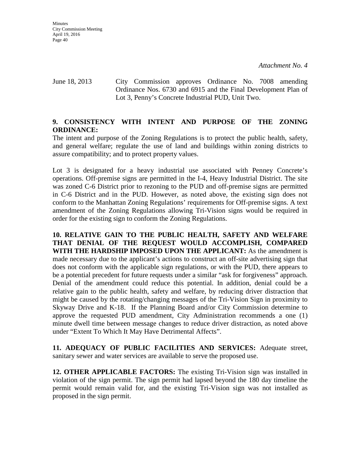June 18, 2013 City Commission approves Ordinance No. 7008 amending Ordinance Nos. 6730 and 6915 and the Final Development Plan of Lot 3, Penny's Concrete Industrial PUD, Unit Two.

# **9. CONSISTENCY WITH INTENT AND PURPOSE OF THE ZONING ORDINANCE:**

The intent and purpose of the Zoning Regulations is to protect the public health, safety, and general welfare; regulate the use of land and buildings within zoning districts to assure compatibility; and to protect property values.

Lot 3 is designated for a heavy industrial use associated with Penney Concrete's operations. Off-premise signs are permitted in the I-4, Heavy Industrial District. The site was zoned C-6 District prior to rezoning to the PUD and off-premise signs are permitted in C-6 District and in the PUD. However, as noted above, the existing sign does not conform to the Manhattan Zoning Regulations' requirements for Off-premise signs. A text amendment of the Zoning Regulations allowing Tri-Vision signs would be required in order for the existing sign to conform the Zoning Regulations.

**10. RELATIVE GAIN TO THE PUBLIC HEALTH, SAFETY AND WELFARE THAT DENIAL OF THE REQUEST WOULD ACCOMPLISH, COMPARED WITH THE HARDSHIP IMPOSED UPON THE APPLICANT:** As the amendment is made necessary due to the applicant's actions to construct an off-site advertising sign that does not conform with the applicable sign regulations, or with the PUD, there appears to be a potential precedent for future requests under a similar "ask for forgiveness" approach. Denial of the amendment could reduce this potential. In addition, denial could be a relative gain to the public health, safety and welfare, by reducing driver distraction that might be caused by the rotating/changing messages of the Tri-Vision Sign in proximity to Skyway Drive and K-18. If the Planning Board and/or City Commission determine to approve the requested PUD amendment, City Administration recommends a one (1) minute dwell time between message changes to reduce driver distraction, as noted above under "Extent To Which It May Have Detrimental Affects".

**11. ADEQUACY OF PUBLIC FACILITIES AND SERVICES:** Adequate street, sanitary sewer and water services are available to serve the proposed use.

**12. OTHER APPLICABLE FACTORS:** The existing Tri-Vision sign was installed in violation of the sign permit. The sign permit had lapsed beyond the 180 day timeline the permit would remain valid for, and the existing Tri-Vision sign was not installed as proposed in the sign permit.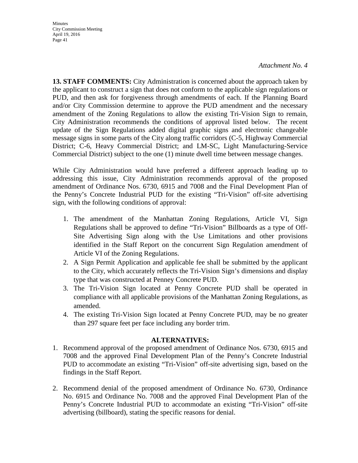**Minutes** 

April 19, 2016 Page 41

City Commission Meeting

*Attachment No. 4* 

**13. STAFF COMMENTS:** City Administration is concerned about the approach taken by the applicant to construct a sign that does not conform to the applicable sign regulations or PUD, and then ask for forgiveness through amendments of each. If the Planning Board and/or City Commission determine to approve the PUD amendment and the necessary amendment of the Zoning Regulations to allow the existing Tri-Vision Sign to remain, City Administration recommends the conditions of approval listed below. The recent update of the Sign Regulations added digital graphic signs and electronic changeable message signs in some parts of the City along traffic corridors (C-5, Highway Commercial District; C-6, Heavy Commercial District; and LM-SC, Light Manufacturing-Service Commercial District) subject to the one (1) minute dwell time between message changes.

While City Administration would have preferred a different approach leading up to addressing this issue, City Administration recommends approval of the proposed amendment of Ordinance Nos. 6730, 6915 and 7008 and the Final Development Plan of the Penny's Concrete Industrial PUD for the existing "Tri-Vision" off-site advertising sign, with the following conditions of approval:

- 1. The amendment of the Manhattan Zoning Regulations, Article VI, Sign Regulations shall be approved to define "Tri-Vision" Billboards as a type of Off-Site Advertising Sign along with the Use Limitations and other provisions identified in the Staff Report on the concurrent Sign Regulation amendment of Article VI of the Zoning Regulations.
- 2. A Sign Permit Application and applicable fee shall be submitted by the applicant to the City, which accurately reflects the Tri-Vision Sign's dimensions and display type that was constructed at Penney Concrete PUD.
- 3. The Tri-Vision Sign located at Penny Concrete PUD shall be operated in compliance with all applicable provisions of the Manhattan Zoning Regulations, as amended.
- 4. The existing Tri-Vision Sign located at Penny Concrete PUD, may be no greater than 297 square feet per face including any border trim.

#### **ALTERNATIVES:**

- 1. Recommend approval of the proposed amendment of Ordinance Nos. 6730, 6915 and 7008 and the approved Final Development Plan of the Penny's Concrete Industrial PUD to accommodate an existing "Tri-Vision" off-site advertising sign, based on the findings in the Staff Report.
- 2. Recommend denial of the proposed amendment of Ordinance No. 6730, Ordinance No. 6915 and Ordinance No. 7008 and the approved Final Development Plan of the Penny's Concrete Industrial PUD to accommodate an existing "Tri-Vision" off-site advertising (billboard), stating the specific reasons for denial.